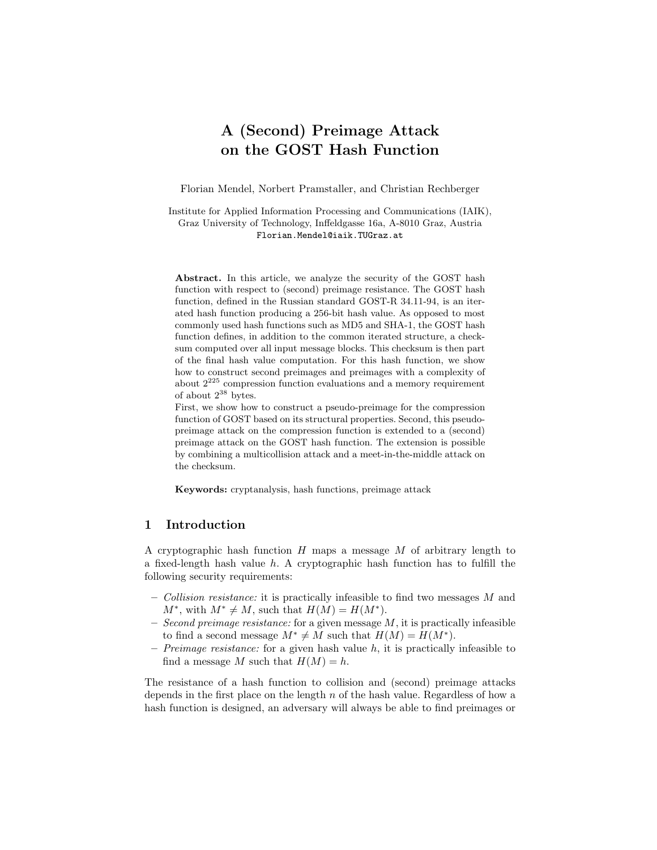# A (Second) Preimage Attack on the GOST Hash Function

Florian Mendel, Norbert Pramstaller, and Christian Rechberger

Institute for Applied Information Processing and Communications (IAIK), Graz University of Technology, Inffeldgasse 16a, A-8010 Graz, Austria Florian.Mendel@iaik.TUGraz.at

Abstract. In this article, we analyze the security of the GOST hash function with respect to (second) preimage resistance. The GOST hash function, defined in the Russian standard GOST-R 34.11-94, is an iterated hash function producing a 256-bit hash value. As opposed to most commonly used hash functions such as MD5 and SHA-1, the GOST hash function defines, in addition to the common iterated structure, a checksum computed over all input message blocks. This checksum is then part of the final hash value computation. For this hash function, we show how to construct second preimages and preimages with a complexity of about  $2^{225}$  compression function evaluations and a memory requirement of about  $2^{38}$  bytes.

First, we show how to construct a pseudo-preimage for the compression function of GOST based on its structural properties. Second, this pseudopreimage attack on the compression function is extended to a (second) preimage attack on the GOST hash function. The extension is possible by combining a multicollision attack and a meet-in-the-middle attack on the checksum.

Keywords: cryptanalysis, hash functions, preimage attack

# 1 Introduction

A cryptographic hash function  $H$  maps a message  $M$  of arbitrary length to a fixed-length hash value  $h$ . A cryptographic hash function has to fulfill the following security requirements:

- Collision resistance: it is practically infeasible to find two messages M and  $M^*$ , with  $M^* \neq M$ , such that  $H(M) = H(M^*)$ .
- Second preimage resistance: for a given message  $M$ , it is practically infeasible to find a second message  $M^* \neq M$  such that  $H(M) = H(M^*)$ .
- Preimage resistance: for a given hash value h, it is practically infeasible to find a message M such that  $H(M) = h$ .

The resistance of a hash function to collision and (second) preimage attacks depends in the first place on the length  $n$  of the hash value. Regardless of how a hash function is designed, an adversary will always be able to find preimages or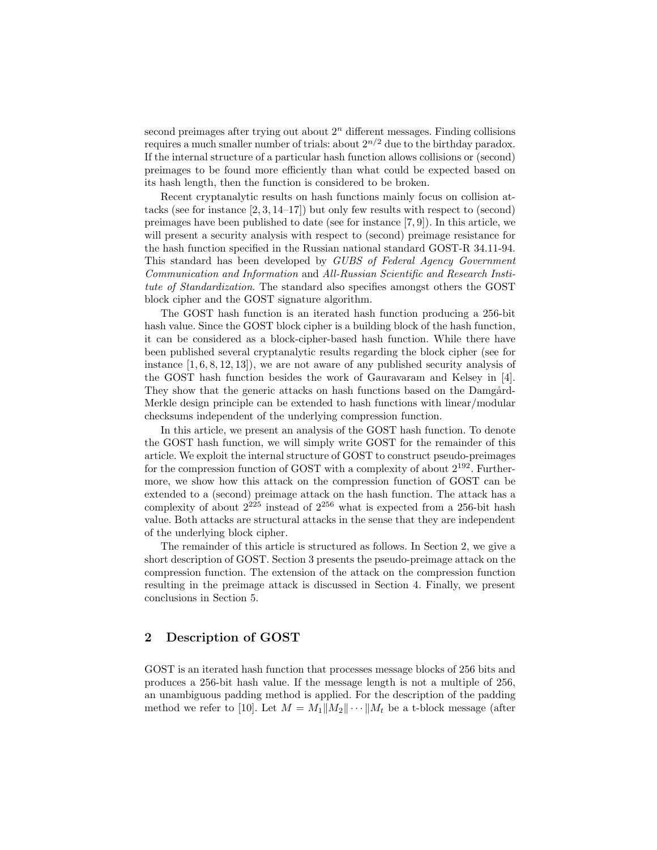second preimages after trying out about  $2<sup>n</sup>$  different messages. Finding collisions requires a much smaller number of trials: about  $2^{n/2}$  due to the birthday paradox. If the internal structure of a particular hash function allows collisions or (second) preimages to be found more efficiently than what could be expected based on its hash length, then the function is considered to be broken.

Recent cryptanalytic results on hash functions mainly focus on collision attacks (see for instance [2, 3, 14–17]) but only few results with respect to (second) preimages have been published to date (see for instance [7, 9]). In this article, we will present a security analysis with respect to (second) preimage resistance for the hash function specified in the Russian national standard GOST-R 34.11-94. This standard has been developed by GUBS of Federal Agency Government Communication and Information and All-Russian Scientific and Research Institute of Standardization. The standard also specifies amongst others the GOST block cipher and the GOST signature algorithm.

The GOST hash function is an iterated hash function producing a 256-bit hash value. Since the GOST block cipher is a building block of the hash function, it can be considered as a block-cipher-based hash function. While there have been published several cryptanalytic results regarding the block cipher (see for instance  $[1, 6, 8, 12, 13]$ , we are not aware of any published security analysis of the GOST hash function besides the work of Gauravaram and Kelsey in [4]. They show that the generic attacks on hash functions based on the Damgård-Merkle design principle can be extended to hash functions with linear/modular checksums independent of the underlying compression function.

In this article, we present an analysis of the GOST hash function. To denote the GOST hash function, we will simply write GOST for the remainder of this article. We exploit the internal structure of GOST to construct pseudo-preimages for the compression function of GOST with a complexity of about  $2^{192}$ . Furthermore, we show how this attack on the compression function of GOST can be extended to a (second) preimage attack on the hash function. The attack has a complexity of about  $2^{225}$  instead of  $2^{256}$  what is expected from a 256-bit hash value. Both attacks are structural attacks in the sense that they are independent of the underlying block cipher.

The remainder of this article is structured as follows. In Section 2, we give a short description of GOST. Section 3 presents the pseudo-preimage attack on the compression function. The extension of the attack on the compression function resulting in the preimage attack is discussed in Section 4. Finally, we present conclusions in Section 5.

# 2 Description of GOST

GOST is an iterated hash function that processes message blocks of 256 bits and produces a 256-bit hash value. If the message length is not a multiple of 256, an unambiguous padding method is applied. For the description of the padding method we refer to [10]. Let  $M = M_1||M_2|| \cdots ||M_t$  be a t-block message (after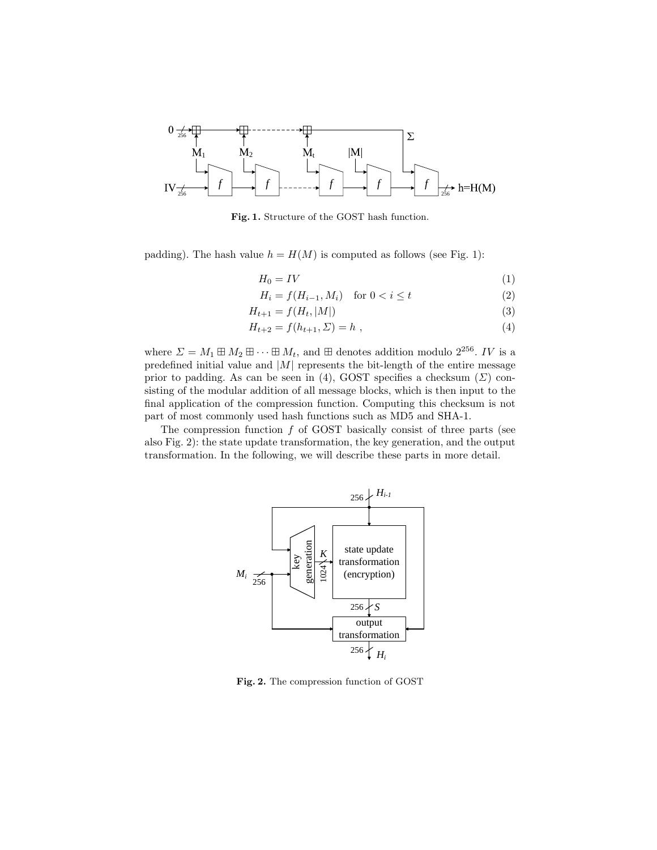

Fig. 1. Structure of the GOST hash function.

padding). The hash value  $h = H(M)$  is computed as follows (see Fig. 1):

$$
H_0 = IV \tag{1}
$$

$$
H_i = f(H_{i-1}, M_i) \quad \text{for } 0 < i \le t \tag{2}
$$

$$
H_{t+1} = f(H_t, |M|) \tag{3}
$$

$$
H_{t+2} = f(h_{t+1}, \Sigma) = h , \t\t(4)
$$

where  $\Sigma = M_1 \boxplus M_2 \boxplus \cdots \boxplus M_t$ , and  $\boxplus$  denotes addition modulo  $2^{256}$ . IV is a predefined initial value and  $|M|$  represents the bit-length of the entire message prior to padding. As can be seen in (4), GOST specifies a checksum  $(\Sigma)$  consisting of the modular addition of all message blocks, which is then input to the final application of the compression function. Computing this checksum is not part of most commonly used hash functions such as MD5 and SHA-1.

The compression function  $f$  of GOST basically consist of three parts (see also Fig. 2): the state update transformation, the key generation, and the output transformation. In the following, we will describe these parts in more detail.



Fig. 2. The compression function of GOST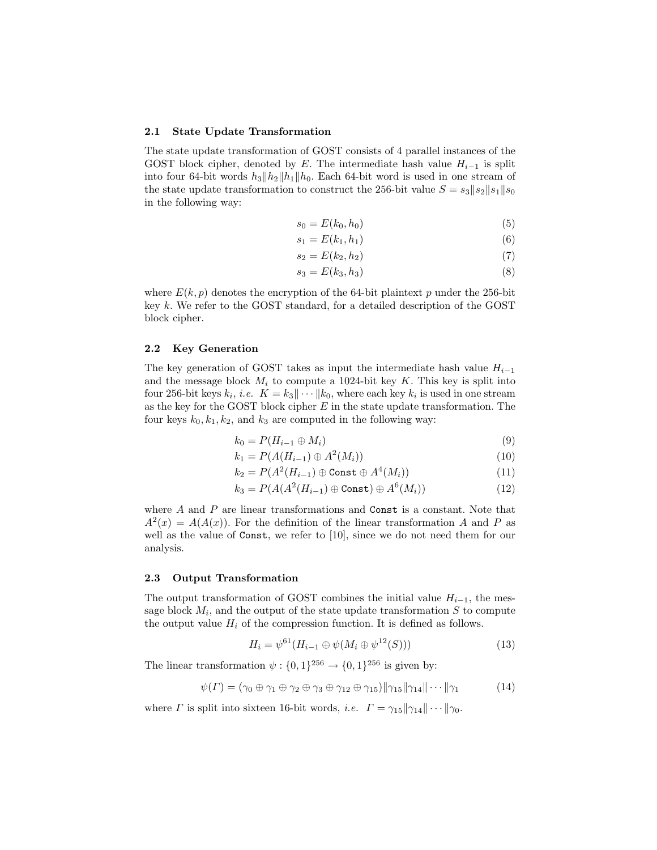#### 2.1 State Update Transformation

The state update transformation of GOST consists of 4 parallel instances of the GOST block cipher, denoted by E. The intermediate hash value  $H_{i-1}$  is split into four 64-bit words  $h_3||h_2||h_1||h_0$ . Each 64-bit word is used in one stream of the state update transformation to construct the 256-bit value  $S = s_3||s_2||s_1||s_0$ in the following way:

$$
s_0 = E(k_0, h_0) \tag{5}
$$

$$
s_1 = E(k_1, h_1) \tag{6}
$$

$$
s_2 = E(k_2, h_2) \tag{7}
$$

$$
s_3 = E(k_3, h_3) \tag{8}
$$

where  $E(k, p)$  denotes the encryption of the 64-bit plaintext p under the 256-bit key  $k$ . We refer to the GOST standard, for a detailed description of the GOST block cipher.

#### 2.2 Key Generation

The key generation of GOST takes as input the intermediate hash value  $H_{i-1}$ and the message block  $M_i$  to compute a 1024-bit key K. This key is split into four 256-bit keys  $k_i$ , *i.e.*  $K = k_3 || \cdots || k_0$ , where each key  $k_i$  is used in one stream as the key for the GOST block cipher  $E$  in the state update transformation. The four keys  $k_0, k_1, k_2$ , and  $k_3$  are computed in the following way:

$$
k_0 = P(H_{i-1} \oplus M_i) \tag{9}
$$

$$
k_1 = P(A(H_{i-1}) \oplus A^2(M_i))
$$
\n(10)

$$
k_2 = P(A^2(H_{i-1}) \oplus \text{Const} \oplus A^4(M_i))
$$
\n(11)

$$
k_3 = P(A(A^2(H_{i-1}) \oplus \text{Const}) \oplus A^6(M_i))
$$
\n(12)

where A and P are linear transformations and Const is a constant. Note that  $A^{2}(x) = A(A(x))$ . For the definition of the linear transformation A and P as well as the value of Const, we refer to [10], since we do not need them for our analysis.

#### 2.3 Output Transformation

The output transformation of GOST combines the initial value  $H_{i-1}$ , the message block  $M_i$ , and the output of the state update transformation  $S$  to compute the output value  $H_i$  of the compression function. It is defined as follows.

$$
H_i = \psi^{61}(H_{i-1} \oplus \psi(M_i \oplus \psi^{12}(S)))
$$
\n(13)

The linear transformation  $\psi: \{0,1\}^{256} \to \{0,1\}^{256}$  is given by:

$$
\psi(\Gamma) = (\gamma_0 \oplus \gamma_1 \oplus \gamma_2 \oplus \gamma_3 \oplus \gamma_{12} \oplus \gamma_{15}) \|\gamma_{15}\|\gamma_{14}\|\cdots\|\gamma_1 \tag{14}
$$

where  $\Gamma$  is split into sixteen 16-bit words, *i.e.*  $\Gamma = \gamma_{15} || \gamma_{14} || \cdots || \gamma_0$ .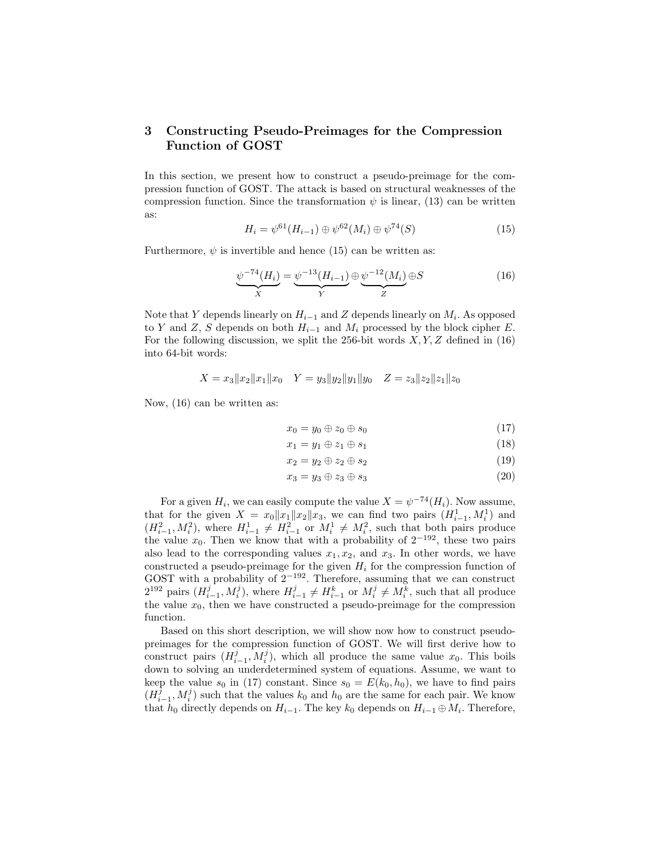# 3 Constructing Pseudo-Preimages for the Compression Function of GOST

In this section, we present how to construct a pseudo-preimage for the compression function of GOST. The attack is based on structural weaknesses of the compression function. Since the transformation  $\psi$  is linear, (13) can be written as:

$$
H_i = \psi^{61}(H_{i-1}) \oplus \psi^{62}(M_i) \oplus \psi^{74}(S) \tag{15}
$$

Furthermore,  $\psi$  is invertible and hence (15) can be written as:

$$
\underbrace{\psi^{-74}(H_i)}_{X} = \underbrace{\psi^{-13}(H_{i-1})}_{Y} \oplus \underbrace{\psi^{-12}(M_i)}_{Z} \oplus S \tag{16}
$$

Note that Y depends linearly on  $H_{i-1}$  and Z depends linearly on  $M_i$ . As opposed to Y and Z, S depends on both  $H_{i-1}$  and  $M_i$  processed by the block cipher E. For the following discussion, we split the 256-bit words  $X, Y, Z$  defined in (16) into 64-bit words:

$$
X = x_3 \|x_2\|x_1\|x_0 \quad Y = y_3 \|y_2\|y_1\|y_0 \quad Z = z_3 \|z_2\|z_1\|z_0
$$

Now, (16) can be written as:

$$
x_0 = y_0 \oplus z_0 \oplus s_0 \tag{17}
$$

$$
x_1 = y_1 \oplus z_1 \oplus s_1 \tag{18}
$$

$$
x_2 = y_2 \oplus z_2 \oplus s_2 \tag{19}
$$

$$
x_3 = y_3 \oplus z_3 \oplus s_3 \tag{20}
$$

For a given  $H_i$ , we can easily compute the value  $X = \psi^{-74}(H_i)$ . Now assume, that for the given  $X = x_0 ||x_1|| x_2 ||x_3$ , we can find two pairs  $(H_{i-1}^1, M_i^1)$  and  $(H_{i-1}^2, M_i^2)$ , where  $H_{i-1}^1 \neq H_{i-1}^2$  or  $M_i^1 \neq M_i^2$ , such that both pairs produce the value  $x_0$ . Then we know that with a probability of  $2^{-192}$ , these two pairs also lead to the corresponding values  $x_1, x_2$ , and  $x_3$ . In other words, we have constructed a pseudo-preimage for the given  $H_i$  for the compression function of GOST with a probability of  $2^{-192}$ . Therefore, assuming that we can construct  $2^{192}$  pairs  $(H_{i-1}^j, M_i^j)$ , where  $H_{i-1}^j \neq H_{i-1}^k$  or  $M_i^j \neq M_i^k$ , such that all produce the value  $x_0$ , then we have constructed a pseudo-preimage for the compression function.

Based on this short description, we will show now how to construct pseudopreimages for the compression function of GOST. We will first derive how to construct pairs  $(H_{i-1}^j, M_i^j)$ , which all produce the same value  $x_0$ . This boils down to solving an underdetermined system of equations. Assume, we want to keep the value  $s_0$  in (17) constant. Since  $s_0 = E(k_0, h_0)$ , we have to find pairs  $(H_{i-1}^{\tilde{j}}, M_i^{\tilde{j}})$  such that the values  $k_0$  and  $h_0$  are the same for each pair. We know that  $h_0$  directly depends on  $H_{i-1}$ . The key  $k_0$  depends on  $H_{i-1} \oplus M_i$ . Therefore,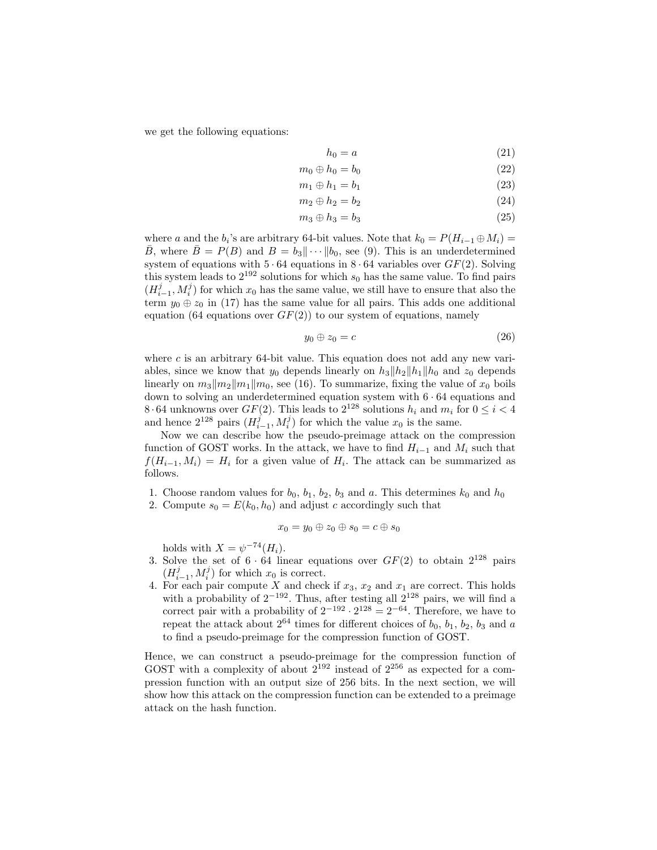we get the following equations:

$$
h_0 = a \tag{21}
$$

$$
m_0 \oplus h_0 = b_0 \tag{22}
$$

$$
m_1 \oplus h_1 = b_1 \tag{23}
$$

$$
m_2 \oplus h_2 = b_2 \tag{24}
$$

$$
m_3 \oplus h_3 = b_3 \tag{25}
$$

where a and the  $b_i$ 's are arbitrary 64-bit values. Note that  $k_0 = P(H_{i-1} \oplus M_i)$  $\bar{B}$ , where  $\bar{B} = P(B)$  and  $B = b_3 || \cdots || b_0$ , see (9). This is an underdetermined system of equations with  $5 \cdot 64$  equations in  $8 \cdot 64$  variables over  $GF(2)$ . Solving this system leads to  $2^{192}$  solutions for which  $s_0$  has the same value. To find pairs  $(H_{i-1}^j, M_i^j)$  for which  $x_0$  has the same value, we still have to ensure that also the term  $y_0 \oplus z_0$  in (17) has the same value for all pairs. This adds one additional equation (64 equations over  $GF(2)$ ) to our system of equations, namely

$$
y_0 \oplus z_0 = c \tag{26}
$$

where  $c$  is an arbitrary 64-bit value. This equation does not add any new variables, since we know that  $y_0$  depends linearly on  $h_3||h_2||h_1||h_0$  and  $z_0$  depends linearly on  $m_3||m_2||m_1||m_0$ , see (16). To summarize, fixing the value of  $x_0$  boils down to solving an underdetermined equation system with  $6 \cdot 64$  equations and 8.64 unknowns over  $GF(2)$ . This leads to  $2^{128}$  solutions  $h_i$  and  $m_i$  for  $0 \leq i < 4$ and hence  $2^{128}$  pairs  $(H_{i-1}^j, M_i^j)$  for which the value  $x_0$  is the same.

Now we can describe how the pseudo-preimage attack on the compression function of GOST works. In the attack, we have to find  $H_{i-1}$  and  $M_i$  such that  $f(H_{i-1}, M_i) = H_i$  for a given value of  $H_i$ . The attack can be summarized as follows.

- 1. Choose random values for  $b_0$ ,  $b_1$ ,  $b_2$ ,  $b_3$  and a. This determines  $k_0$  and  $h_0$
- 2. Compute  $s_0 = E(k_0, h_0)$  and adjust c accordingly such that

$$
x_0=y_0\oplus z_0\oplus s_0=c\oplus s_0
$$

holds with  $X = \psi^{-74}(H_i)$ .

- 3. Solve the set of  $6 \cdot 64$  linear equations over  $GF(2)$  to obtain  $2^{128}$  pairs  $(H_{i-1}^j, M_i^j)$  for which  $x_0$  is correct.
- 4. For each pair compute X and check if  $x_3$ ,  $x_2$  and  $x_1$  are correct. This holds with a probability of  $2^{-192}$ . Thus, after testing all  $2^{128}$  pairs, we will find a correct pair with a probability of  $2^{-192} \cdot 2^{128} = 2^{-64}$ . Therefore, we have to repeat the attack about  $2^{64}$  times for different choices of  $b_0$ ,  $b_1$ ,  $b_2$ ,  $b_3$  and a to find a pseudo-preimage for the compression function of GOST.

Hence, we can construct a pseudo-preimage for the compression function of GOST with a complexity of about  $2^{192}$  instead of  $2^{256}$  as expected for a compression function with an output size of 256 bits. In the next section, we will show how this attack on the compression function can be extended to a preimage attack on the hash function.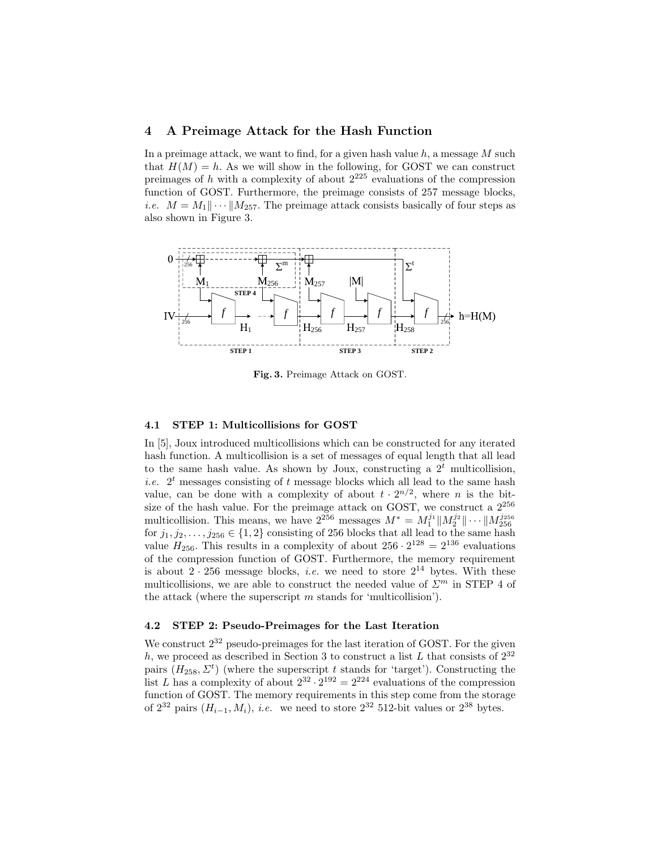## 4 A Preimage Attack for the Hash Function

In a preimage attack, we want to find, for a given hash value  $h$ , a message  $M$  such that  $H(M) = h$ . As we will show in the following, for GOST we can construct preimages of h with a complexity of about  $2^{225}$  evaluations of the compression function of GOST. Furthermore, the preimage consists of 257 message blocks, *i.e.*  $M = M_1 || \cdots || M_{257}$ . The preimage attack consists basically of four steps as also shown in Figure 3.



Fig. 3. Preimage Attack on GOST.

#### 4.1 STEP 1: Multicollisions for GOST

*f f f f* 256 *f* 256 to the same hash value. As shown by Joux, constructing a 2<sup>t</sup> multicollision, In [5], Joux introduced multicollisions which can be constructed for any iterated hash function. A multicollision is a set of messages of equal length that all lead *i.e.*  $2<sup>t</sup>$  messages consisting of t message blocks which all lead to the same hash value, can be done with a complexity of about  $t \cdot 2^{n/2}$ , where *n* is the bitsize of the hash value. For the preimage attack on GOST, we construct a  $2^{256}$ multicollision. This means, we have  $2^{256}$  messages  $M^* = M_1^{j_1} \| M_2^{j_2} \| \cdots \| M_{256}^{j_{256}}$ for  $j_1, j_2, \ldots, j_{256} \in \{1,2\}$  consisting of 256 blocks that all lead to the same hash value  $H_{256}$ . This results in a complexity of about  $256 \cdot 2^{128} = 2^{136}$  evaluations of the compression function of GOST. Furthermore, the memory requirement is about  $2 \cdot 256$  message blocks, *i.e.* we need to store  $2^{14}$  bytes. With these multicollisions, we are able to construct the needed value of  $\mathcal{Z}^m$  in STEP 4 of the attack (where the superscript  $m$  stands for 'multicollision').

## 4.2 STEP 2: Pseudo-Preimages for the Last Iteration

We construct  $2^{32}$  pseudo-preimages for the last iteration of GOST. For the given h, we proceed as described in Section 3 to construct a list L that consists of  $2^{32}$ pairs  $(H_{258}, \Sigma^t)$  (where the superscript t stands for 'target'). Constructing the list L has a complexity of about  $2^{32} \cdot 2^{192} = 2^{224}$  evaluations of the compression function of GOST. The memory requirements in this step come from the storage of  $2^{32}$  pairs  $(H_{i-1}, M_i)$ , *i.e.* we need to store  $2^{32}$  512-bit values or  $2^{38}$  bytes.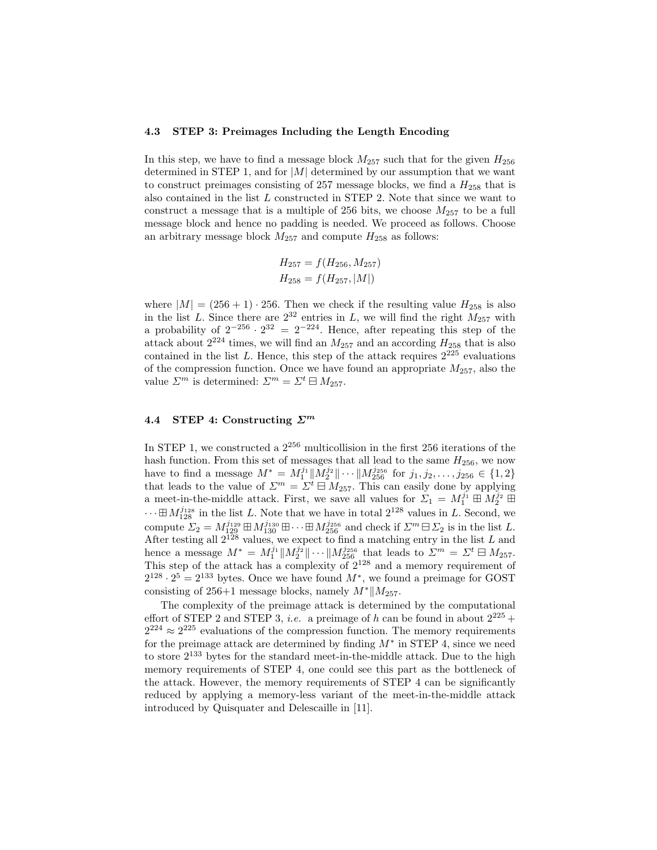#### 4.3 STEP 3: Preimages Including the Length Encoding

In this step, we have to find a message block  $M_{257}$  such that for the given  $H_{256}$ determined in STEP 1, and for  $|M|$  determined by our assumption that we want to construct preimages consisting of 257 message blocks, we find a  $H_{258}$  that is also contained in the list L constructed in STEP 2. Note that since we want to construct a message that is a multiple of 256 bits, we choose  $M_{257}$  to be a full message block and hence no padding is needed. We proceed as follows. Choose an arbitrary message block  $M_{257}$  and compute  $H_{258}$  as follows:

$$
H_{257} = f(H_{256}, M_{257})
$$
  

$$
H_{258} = f(H_{257}, |M|)
$$

where  $|M| = (256 + 1) \cdot 256$ . Then we check if the resulting value  $H_{258}$  is also in the list L. Since there are  $2^{32}$  entries in L, we will find the right  $M_{257}$  with a probability of  $2^{-256} \cdot 2^{32} = 2^{-224}$ . Hence, after repeating this step of the attack about  $2^{224}$  times, we will find an  $M_{257}$  and an according  $H_{258}$  that is also contained in the list L. Hence, this step of the attack requires  $2^{225}$  evaluations of the compression function. Once we have found an appropriate  $M_{257}$ , also the value  $\Sigma^m$  is determined:  $\Sigma^m = \Sigma^t \boxminus M_{257}$ .

## 4.4 STEP 4: Constructing  $\Sigma^m$

In STEP 1, we constructed a  $2^{256}$  multicollision in the first 256 iterations of the hash function. From this set of messages that all lead to the same  $H_{256}$ , we now have to find a message  $M^* = M_1^{j_1} \| M_2^{j_2} \| \cdots \| M_{256}^{j_{256}}$  for  $j_1, j_2, \ldots, j_{256} \in \{1, 2\}$ that leads to the value of  $\Sigma^m = \Sigma^t \boxminus M_{257}$ . This can easily done by applying a meet-in-the-middle attack. First, we save all values for  $\overline{\Sigma}_1 = M_1^{j_1} \boxplus M_2^{j_2} \boxplus$  $\cdots \boxplus M_{128}^{j_{128}}$  in the list L. Note that we have in total  $2^{128}$  values in L. Second, we compute  $\Sigma_2 = M_{129}^{j_{129}} \boxplus M_{130}^{j_{130}} \boxplus \cdots \boxplus M_{256}^{j_{256}}$  and check if  $\Sigma^m \boxminus \Sigma_2$  is in the list L. After testing all  $2^{128}$  values, we expect to find a matching entry in the list L and hence a message  $M^* = M_1^{j_1} \| M_2^{j_2} \| \cdots \| M_{256}^{j_{256}}$  that leads to  $\mathcal{L}^m = \mathcal{L}^t \boxminus M_{257}$ . This step of the attack has a complexity of  $2^{128}$  and a memory requirement of  $2^{128} \cdot 2^5 = 2^{133}$  bytes. Once we have found  $M^*$ , we found a preimage for GOST consisting of 256+1 message blocks, namely  $M^*||M_{257}$ .

The complexity of the preimage attack is determined by the computational effort of STEP 2 and STEP 3, *i.e.* a preimage of h can be found in about  $2^{225}$  +  $2^{224} \approx 2^{225}$  evaluations of the compression function. The memory requirements for the preimage attack are determined by finding  $M^*$  in STEP 4, since we need to store 2<sup>133</sup> bytes for the standard meet-in-the-middle attack. Due to the high memory requirements of STEP 4, one could see this part as the bottleneck of the attack. However, the memory requirements of STEP 4 can be significantly reduced by applying a memory-less variant of the meet-in-the-middle attack introduced by Quisquater and Delescaille in [11].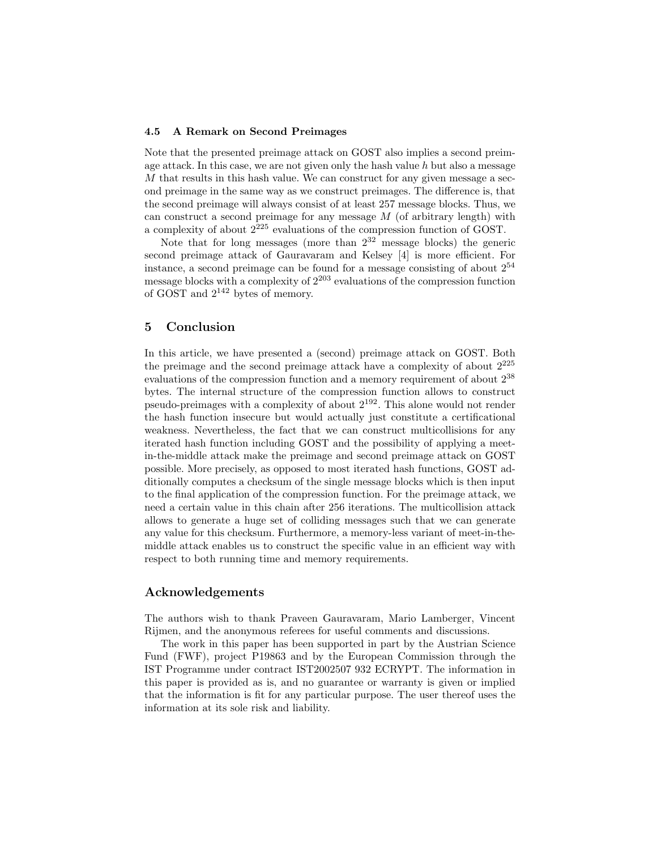#### 4.5 A Remark on Second Preimages

Note that the presented preimage attack on GOST also implies a second preimage attack. In this case, we are not given only the hash value  $h$  but also a message M that results in this hash value. We can construct for any given message a second preimage in the same way as we construct preimages. The difference is, that the second preimage will always consist of at least 257 message blocks. Thus, we can construct a second preimage for any message  $M$  (of arbitrary length) with a complexity of about 2<sup>225</sup> evaluations of the compression function of GOST.

Note that for long messages (more than  $2^{32}$  message blocks) the generic second preimage attack of Gauravaram and Kelsey [4] is more efficient. For instance, a second preimage can be found for a message consisting of about  $2^{54}$ message blocks with a complexity of  $2^{203}$  evaluations of the compression function of GOST and  $2^{142}$  bytes of memory.

## 5 Conclusion

In this article, we have presented a (second) preimage attack on GOST. Both the preimage and the second preimage attack have a complexity of about  $2^{225}$ evaluations of the compression function and a memory requirement of about 2<sup>38</sup> bytes. The internal structure of the compression function allows to construct pseudo-preimages with a complexity of about 2<sup>192</sup>. This alone would not render the hash function insecure but would actually just constitute a certificational weakness. Nevertheless, the fact that we can construct multicollisions for any iterated hash function including GOST and the possibility of applying a meetin-the-middle attack make the preimage and second preimage attack on GOST possible. More precisely, as opposed to most iterated hash functions, GOST additionally computes a checksum of the single message blocks which is then input to the final application of the compression function. For the preimage attack, we need a certain value in this chain after 256 iterations. The multicollision attack allows to generate a huge set of colliding messages such that we can generate any value for this checksum. Furthermore, a memory-less variant of meet-in-themiddle attack enables us to construct the specific value in an efficient way with respect to both running time and memory requirements.

## Acknowledgements

The authors wish to thank Praveen Gauravaram, Mario Lamberger, Vincent Rijmen, and the anonymous referees for useful comments and discussions.

The work in this paper has been supported in part by the Austrian Science Fund (FWF), project P19863 and by the European Commission through the IST Programme under contract IST2002507 932 ECRYPT. The information in this paper is provided as is, and no guarantee or warranty is given or implied that the information is fit for any particular purpose. The user thereof uses the information at its sole risk and liability.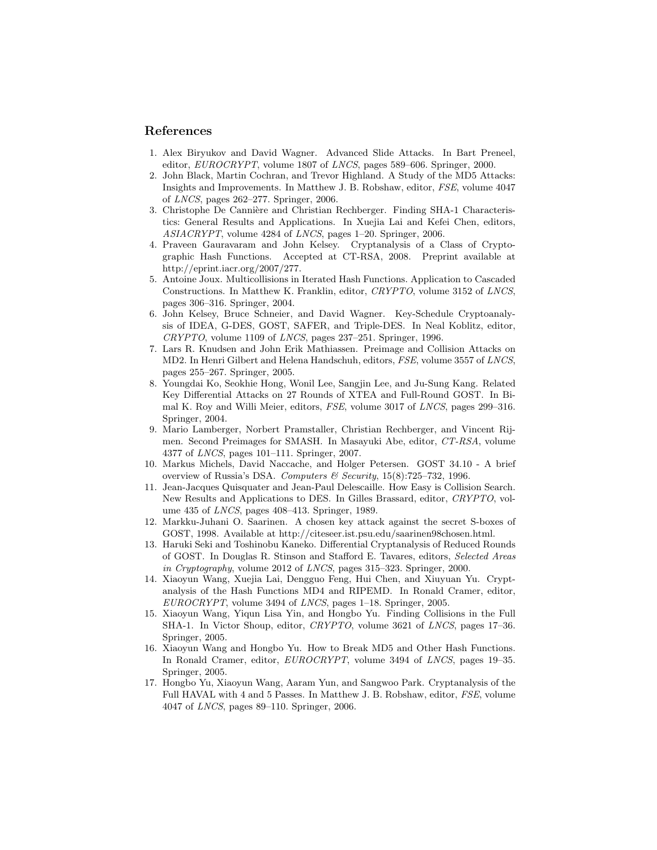## References

- 1. Alex Biryukov and David Wagner. Advanced Slide Attacks. In Bart Preneel, editor, EUROCRYPT, volume 1807 of LNCS, pages 589–606. Springer, 2000.
- 2. John Black, Martin Cochran, and Trevor Highland. A Study of the MD5 Attacks: Insights and Improvements. In Matthew J. B. Robshaw, editor, FSE, volume 4047 of LNCS, pages 262–277. Springer, 2006.
- 3. Christophe De Cannière and Christian Rechberger. Finding SHA-1 Characteristics: General Results and Applications. In Xuejia Lai and Kefei Chen, editors, ASIACRYPT, volume 4284 of LNCS, pages 1–20. Springer, 2006.
- 4. Praveen Gauravaram and John Kelsey. Cryptanalysis of a Class of Cryptographic Hash Functions. Accepted at CT-RSA, 2008. Preprint available at http://eprint.iacr.org/2007/277.
- 5. Antoine Joux. Multicollisions in Iterated Hash Functions. Application to Cascaded Constructions. In Matthew K. Franklin, editor, CRYPTO, volume 3152 of LNCS, pages 306–316. Springer, 2004.
- 6. John Kelsey, Bruce Schneier, and David Wagner. Key-Schedule Cryptoanalysis of IDEA, G-DES, GOST, SAFER, and Triple-DES. In Neal Koblitz, editor,  $CRYPTO$ , volume 1109 of *LNCS*, pages 237–251. Springer, 1996.
- 7. Lars R. Knudsen and John Erik Mathiassen. Preimage and Collision Attacks on MD2. In Henri Gilbert and Helena Handschuh, editors, FSE, volume 3557 of LNCS, pages 255–267. Springer, 2005.
- 8. Youngdai Ko, Seokhie Hong, Wonil Lee, Sangjin Lee, and Ju-Sung Kang. Related Key Differential Attacks on 27 Rounds of XTEA and Full-Round GOST. In Bimal K. Roy and Willi Meier, editors, FSE, volume 3017 of LNCS, pages 299–316. Springer, 2004.
- 9. Mario Lamberger, Norbert Pramstaller, Christian Rechberger, and Vincent Rijmen. Second Preimages for SMASH. In Masayuki Abe, editor, CT-RSA, volume 4377 of LNCS, pages 101–111. Springer, 2007.
- 10. Markus Michels, David Naccache, and Holger Petersen. GOST 34.10 A brief overview of Russia's DSA. Computers & Security, 15(8):725–732, 1996.
- 11. Jean-Jacques Quisquater and Jean-Paul Delescaille. How Easy is Collision Search. New Results and Applications to DES. In Gilles Brassard, editor, CRYPTO, volume 435 of LNCS, pages 408–413. Springer, 1989.
- 12. Markku-Juhani O. Saarinen. A chosen key attack against the secret S-boxes of GOST, 1998. Available at http://citeseer.ist.psu.edu/saarinen98chosen.html.
- 13. Haruki Seki and Toshinobu Kaneko. Differential Cryptanalysis of Reduced Rounds of GOST. In Douglas R. Stinson and Stafford E. Tavares, editors, Selected Areas in Cryptography, volume 2012 of LNCS, pages 315–323. Springer, 2000.
- 14. Xiaoyun Wang, Xuejia Lai, Dengguo Feng, Hui Chen, and Xiuyuan Yu. Cryptanalysis of the Hash Functions MD4 and RIPEMD. In Ronald Cramer, editor, EUROCRYPT, volume 3494 of LNCS, pages 1–18. Springer, 2005.
- 15. Xiaoyun Wang, Yiqun Lisa Yin, and Hongbo Yu. Finding Collisions in the Full SHA-1. In Victor Shoup, editor, CRYPTO, volume 3621 of LNCS, pages 17–36. Springer, 2005.
- 16. Xiaoyun Wang and Hongbo Yu. How to Break MD5 and Other Hash Functions. In Ronald Cramer, editor, EUROCRYPT, volume 3494 of LNCS, pages 19–35. Springer, 2005.
- 17. Hongbo Yu, Xiaoyun Wang, Aaram Yun, and Sangwoo Park. Cryptanalysis of the Full HAVAL with 4 and 5 Passes. In Matthew J. B. Robshaw, editor, FSE, volume 4047 of LNCS, pages 89–110. Springer, 2006.